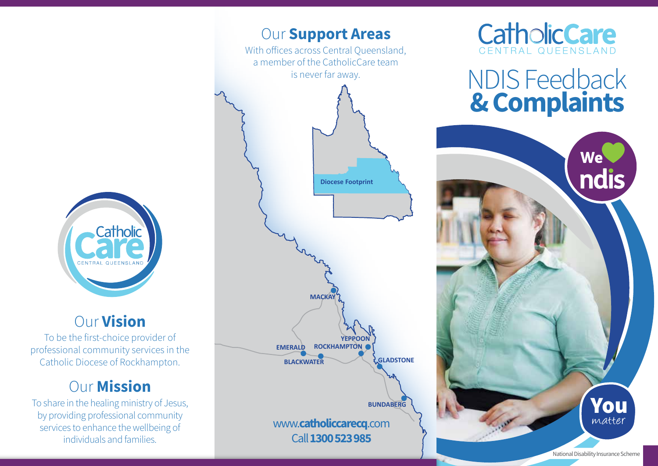

## Our Vision

To be the first-choice provider of professional community services in the Catholic Diocese of Rockhampton.

# **Our Mission**

To share in the healing ministry of Jesus, by providing professional community services to enhance the wellbeing of individuals and families.





# NDIS Feedback & Complaints